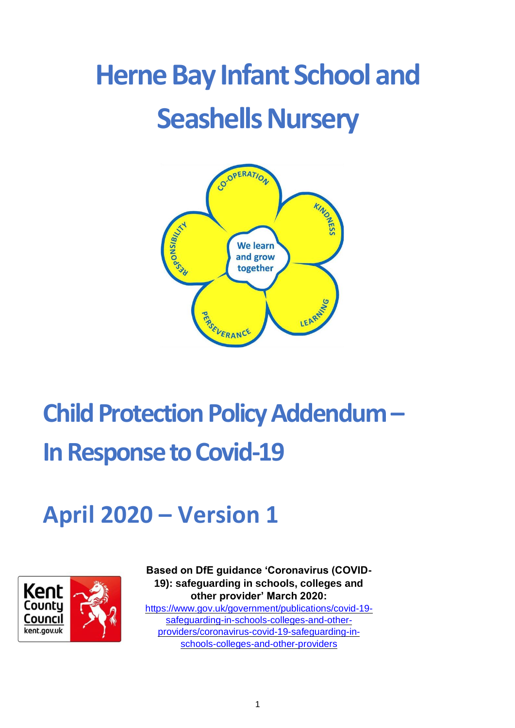# **Herne Bay Infant School and Seashells Nursery**



## **Child Protection Policy Addendum – In Response to Covid-19**

### **April 2020 – Version 1**



**Based on DfE guidance 'Coronavirus (COVID-19): safeguarding in schools, colleges and other provider' March 2020:**  [https://www.gov.uk/government/publications/covid-19](https://www.gov.uk/government/publications/covid-19-safeguarding-in-schools-colleges-and-other-providers/coronavirus-covid-19-safeguarding-in-schools-colleges-and-other-providers) [safeguarding-in-schools-colleges-and-other](https://www.gov.uk/government/publications/covid-19-safeguarding-in-schools-colleges-and-other-providers/coronavirus-covid-19-safeguarding-in-schools-colleges-and-other-providers)[providers/coronavirus-covid-19-safeguarding-in](https://www.gov.uk/government/publications/covid-19-safeguarding-in-schools-colleges-and-other-providers/coronavirus-covid-19-safeguarding-in-schools-colleges-and-other-providers)[schools-colleges-and-other-providers](https://www.gov.uk/government/publications/covid-19-safeguarding-in-schools-colleges-and-other-providers/coronavirus-covid-19-safeguarding-in-schools-colleges-and-other-providers)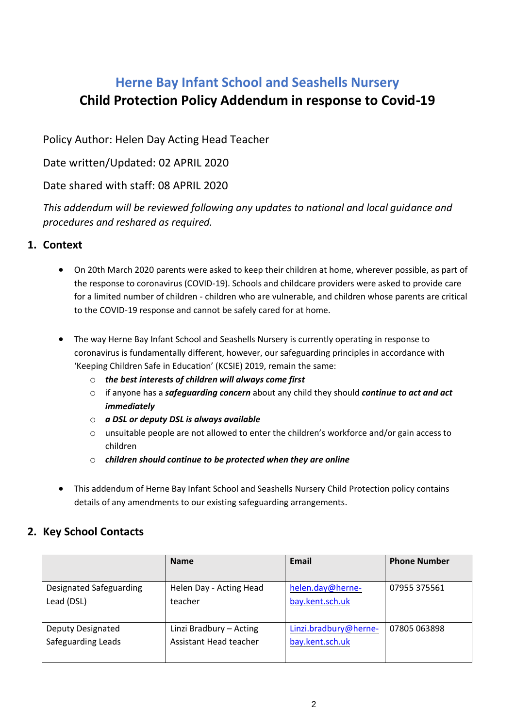### **Herne Bay Infant School and Seashells Nursery Child Protection Policy Addendum in response to Covid-19**

Policy Author: Helen Day Acting Head Teacher

Date written/Updated: 02 APRIL 2020

Date shared with staff: 08 APRIL 2020

*This addendum will be reviewed following any updates to national and local guidance and procedures and reshared as required.* 

#### **1. Context**

- On 20th March 2020 parents were asked to keep their children at home, wherever possible, as part of the response to coronavirus (COVID-19). Schools and childcare providers were asked to provide care for a limited number of children - children who are vulnerable, and children whose parents are critical to the COVID-19 response and cannot be safely cared for at home.
- The way Herne Bay Infant School and Seashells Nursery is currently operating in response to coronavirus is fundamentally different, however, our safeguarding principles in accordance with 'Keeping Children Safe in Education' (KCSIE) 2019, remain the same:
	- o *the best interests of children will always come first*
	- o if anyone has a *safeguarding concern* about any child they should *continue to act and act immediately*
	- o *a DSL or deputy DSL is always available*
	- o unsuitable people are not allowed to enter the children's workforce and/or gain access to children
	- o *children should continue to be protected when they are online*
- This addendum of Herne Bay Infant School and Seashells Nursery Child Protection policy contains details of any amendments to our existing safeguarding arrangements.

#### **2. Key School Contacts**

|                         | <b>Name</b>             | Email                 | <b>Phone Number</b> |
|-------------------------|-------------------------|-----------------------|---------------------|
|                         |                         |                       |                     |
| Designated Safeguarding | Helen Day - Acting Head | helen.day@herne-      | 07955 375561        |
| Lead (DSL)              | teacher                 | bay.kent.sch.uk       |                     |
|                         |                         |                       |                     |
| Deputy Designated       | Linzi Bradbury - Acting | Linzi.bradbury@herne- | 07805 063898        |
| Safeguarding Leads      | Assistant Head teacher  | bay.kent.sch.uk       |                     |
|                         |                         |                       |                     |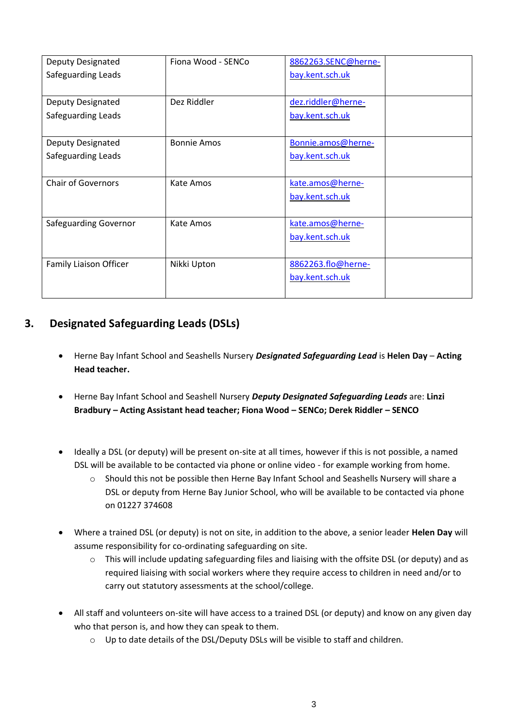| Deputy Designated            | Fiona Wood - SENCo | 8862263.SENC@herne- |  |
|------------------------------|--------------------|---------------------|--|
| Safeguarding Leads           |                    | bay.kent.sch.uk     |  |
|                              |                    |                     |  |
| Deputy Designated            | Dez Riddler        | dez.riddler@herne-  |  |
| Safeguarding Leads           |                    | bay.kent.sch.uk     |  |
|                              |                    |                     |  |
| Deputy Designated            | <b>Bonnie Amos</b> | Bonnie.amos@herne-  |  |
| Safeguarding Leads           |                    | bay.kent.sch.uk     |  |
|                              |                    |                     |  |
| <b>Chair of Governors</b>    | Kate Amos          | kate.amos@herne-    |  |
|                              |                    | bay.kent.sch.uk     |  |
|                              |                    |                     |  |
| <b>Safeguarding Governor</b> | Kate Amos          | kate.amos@herne-    |  |
|                              |                    | bay.kent.sch.uk     |  |
|                              |                    |                     |  |
| Family Liaison Officer       | Nikki Upton        | 8862263.flo@herne-  |  |
|                              |                    | bay.kent.sch.uk     |  |
|                              |                    |                     |  |

#### **3. Designated Safeguarding Leads (DSLs)**

- Herne Bay Infant School and Seashells Nursery *Designated Safeguarding Lead* is **Helen Day Acting Head teacher.**
- Herne Bay Infant School and Seashell Nursery *Deputy Designated Safeguarding Leads* are: **Linzi Bradbury – Acting Assistant head teacher; Fiona Wood – SENCo; Derek Riddler – SENCO**
- Ideally a DSL (or deputy) will be present on-site at all times, however if this is not possible, a named DSL will be available to be contacted via phone or online video - for example working from home.
	- o Should this not be possible then Herne Bay Infant School and Seashells Nursery will share a DSL or deputy from Herne Bay Junior School, who will be available to be contacted via phone on 01227 374608
- Where a trained DSL (or deputy) is not on site, in addition to the above, a senior leader **Helen Day** will assume responsibility for co-ordinating safeguarding on site.
	- o This will include updating safeguarding files and liaising with the offsite DSL (or deputy) and as required liaising with social workers where they require access to children in need and/or to carry out statutory assessments at the school/college.
- All staff and volunteers on-site will have access to a trained DSL (or deputy) and know on any given day who that person is, and how they can speak to them.
	- o Up to date details of the DSL/Deputy DSLs will be visible to staff and children.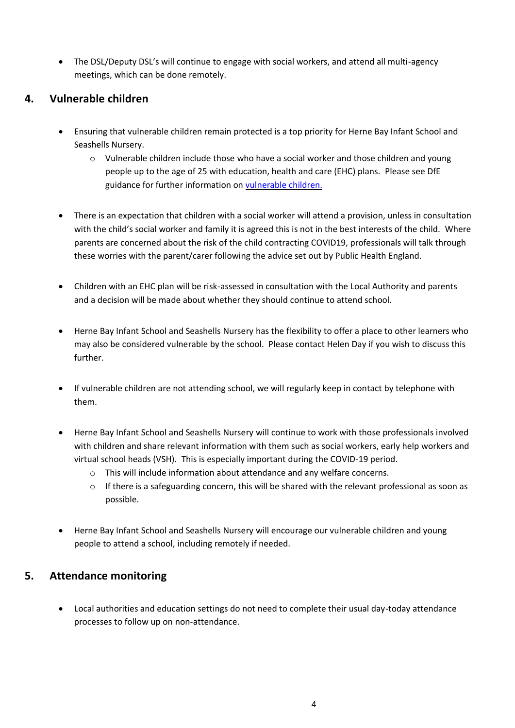• The DSL/Deputy DSL's will continue to engage with social workers, and attend all multi-agency meetings, which can be done remotely.

#### **4. Vulnerable children**

- Ensuring that vulnerable children remain protected is a top priority for Herne Bay Infant School and Seashells Nursery.
	- o Vulnerable children include those who have a social worker and those children and young people up to the age of 25 with education, health and care (EHC) plans. Please see DfE guidance for further information on [vulnerable children.](https://www.gov.uk/government/publications/coronavirus-covid-19-guidance-on-vulnerable-children-and-young-people/coronavirus-covid-19-guidance-on-vulnerable-children-and-young-people)
- There is an expectation that children with a social worker will attend a provision, unless in consultation with the child's social worker and family it is agreed this is not in the best interests of the child. Where parents are concerned about the risk of the child contracting COVID19, professionals will talk through these worries with the parent/carer following the advice set out by Public Health England.
- Children with an EHC plan will be risk-assessed in consultation with the Local Authority and parents and a decision will be made about whether they should continue to attend school.
- Herne Bay Infant School and Seashells Nursery has the flexibility to offer a place to other learners who may also be considered vulnerable by the school. Please contact Helen Day if you wish to discuss this further.
- If vulnerable children are not attending school, we will regularly keep in contact by telephone with them.
- Herne Bay Infant School and Seashells Nursery will continue to work with those professionals involved with children and share relevant information with them such as social workers, early help workers and virtual school heads (VSH). This is especially important during the COVID-19 period.
	- o This will include information about attendance and any welfare concerns.
	- o If there is a safeguarding concern, this will be shared with the relevant professional as soon as possible.
- Herne Bay Infant School and Seashells Nursery will encourage our vulnerable children and young people to attend a school, including remotely if needed.

#### **5. Attendance monitoring**

• Local authorities and education settings do not need to complete their usual day-today attendance processes to follow up on non-attendance.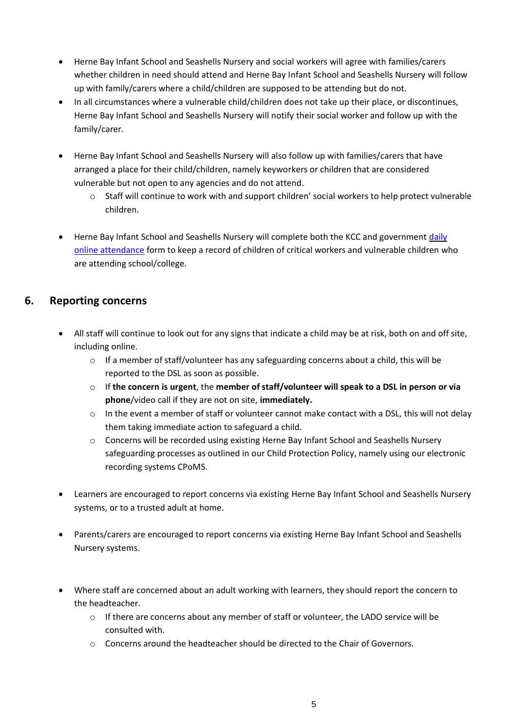- Herne Bay Infant School and Seashells Nursery and social workers will agree with families/carers whether children in need should attend and Herne Bay Infant School and Seashells Nursery will follow up with family/carers where a child/children are supposed to be attending but do not.
- In all circumstances where a vulnerable child/children does not take up their place, or discontinues, Herne Bay Infant School and Seashells Nursery will notify their social worker and follow up with the family/carer.
- Herne Bay Infant School and Seashells Nursery will also follow up with families/carers that have arranged a place for their child/children, namely keyworkers or children that are considered vulnerable but not open to any agencies and do not attend.
	- o Staff will continue to work with and support children' social workers to help protect vulnerable children.
- Herne Bay Infant School and Seashells Nursery will complete both the KCC and government daily [online attendance](file:///C:/Users/KandoA02/OneDrive%20-%20The%20Education%20People/Desktop/daily%20online%20attendance%20form.htm) form to keep a record of children of critical workers and vulnerable children who are attending school/college.

#### **6. Reporting concerns**

- All staff will continue to look out for any signs that indicate a child may be at risk, both on and off site, including online.
	- $\circ$  If a member of staff/volunteer has any safeguarding concerns about a child, this will be reported to the DSL as soon as possible.
	- o If **the concern is urgent**, the **member of staff/volunteer will speak to a DSL in person or via phone**/video call if they are not on site, **immediately.**
	- o In the event a member of staff or volunteer cannot make contact with a DSL, this will not delay them taking immediate action to safeguard a child.
	- o Concerns will be recorded using existing Herne Bay Infant School and Seashells Nursery safeguarding processes as outlined in our Child Protection Policy, namely using our electronic recording systems CPoMS.
- Learners are encouraged to report concerns via existing Herne Bay Infant School and Seashells Nursery systems, or to a trusted adult at home.
- Parents/carers are encouraged to report concerns via existing Herne Bay Infant School and Seashells Nursery systems.
- Where staff are concerned about an adult working with learners, they should report the concern to the headteacher.
	- $\circ$  If there are concerns about any member of staff or volunteer, the LADO service will be consulted with.
	- $\circ$  Concerns around the headteacher should be directed to the Chair of Governors.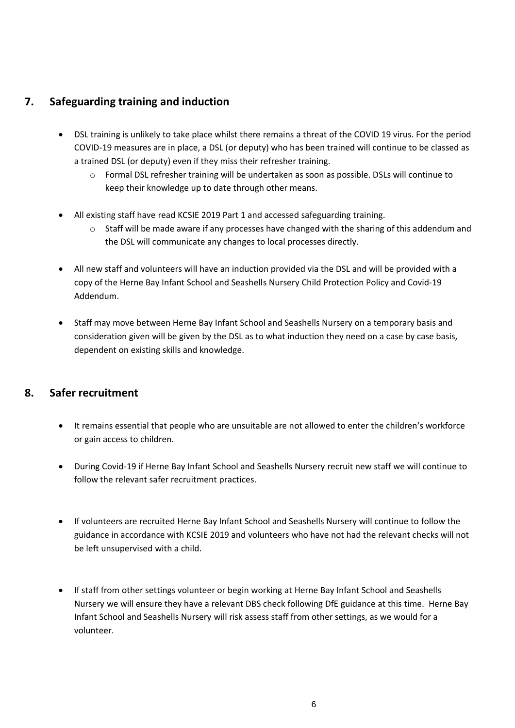#### **7. Safeguarding training and induction**

- DSL training is unlikely to take place whilst there remains a threat of the COVID 19 virus. For the period COVID-19 measures are in place, a DSL (or deputy) who has been trained will continue to be classed as a trained DSL (or deputy) even if they miss their refresher training.
	- o Formal DSL refresher training will be undertaken as soon as possible. DSLs will continue to keep their knowledge up to date through other means.
- All existing staff have read KCSIE 2019 Part 1 and accessed safeguarding training.
	- $\circ$  Staff will be made aware if any processes have changed with the sharing of this addendum and the DSL will communicate any changes to local processes directly.
- All new staff and volunteers will have an induction provided via the DSL and will be provided with a copy of the Herne Bay Infant School and Seashells Nursery Child Protection Policy and Covid-19 Addendum.
- Staff may move between Herne Bay Infant School and Seashells Nursery on a temporary basis and consideration given will be given by the DSL as to what induction they need on a case by case basis, dependent on existing skills and knowledge.

#### **8. Safer recruitment**

- It remains essential that people who are unsuitable are not allowed to enter the children's workforce or gain access to children.
- During Covid-19 if Herne Bay Infant School and Seashells Nursery recruit new staff we will continue to follow the relevant safer recruitment practices.
- If volunteers are recruited Herne Bay Infant School and Seashells Nursery will continue to follow the guidance in accordance with KCSIE 2019 and volunteers who have not had the relevant checks will not be left unsupervised with a child.
- If staff from other settings volunteer or begin working at Herne Bay Infant School and Seashells Nursery we will ensure they have a relevant DBS check following DfE guidance at this time. Herne Bay Infant School and Seashells Nursery will risk assess staff from other settings, as we would for a volunteer.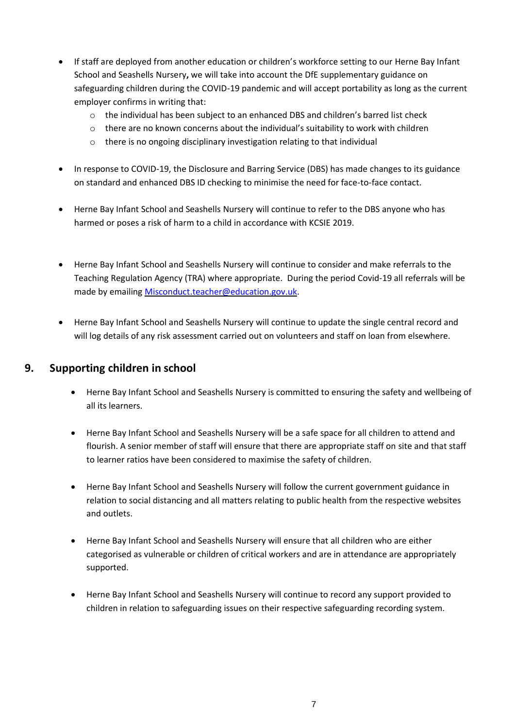- If staff are deployed from another education or children's workforce setting to our Herne Bay Infant School and Seashells Nursery**,** we will take into account the DfE supplementary guidance on safeguarding children during the COVID-19 pandemic and will accept portability as long as the current employer confirms in writing that:
	- o the individual has been subject to an enhanced DBS and children's barred list check
	- $\circ$  there are no known concerns about the individual's suitability to work with children
	- o there is no ongoing disciplinary investigation relating to that individual
- In response to COVID-19, the Disclosure and Barring Service (DBS) has made changes to its guidance on standard and enhanced DBS ID checking to minimise the need for face-to-face contact.
- Herne Bay Infant School and Seashells Nursery will continue to refer to the DBS anyone who has harmed or poses a risk of harm to a child in accordance with KCSIE 2019.
- Herne Bay Infant School and Seashells Nursery will continue to consider and make referrals to the Teaching Regulation Agency (TRA) where appropriate. During the period Covid-19 all referrals will be made by emailing [Misconduct.teacher@education.gov.uk.](mailto:Misconduct.teacher@education.gov.uk)
- Herne Bay Infant School and Seashells Nursery will continue to update the single central record and will log details of any risk assessment carried out on volunteers and staff on loan from elsewhere.

#### **9. Supporting children in school**

- Herne Bay Infant School and Seashells Nursery is committed to ensuring the safety and wellbeing of all its learners.
- Herne Bay Infant School and Seashells Nursery will be a safe space for all children to attend and flourish. A senior member of staff will ensure that there are appropriate staff on site and that staff to learner ratios have been considered to maximise the safety of children.
- Herne Bay Infant School and Seashells Nursery will follow the current government guidance in relation to social distancing and all matters relating to public health from the respective websites and outlets.
- Herne Bay Infant School and Seashells Nursery will ensure that all children who are either categorised as vulnerable or children of critical workers and are in attendance are appropriately supported.
- Herne Bay Infant School and Seashells Nursery will continue to record any support provided to children in relation to safeguarding issues on their respective safeguarding recording system.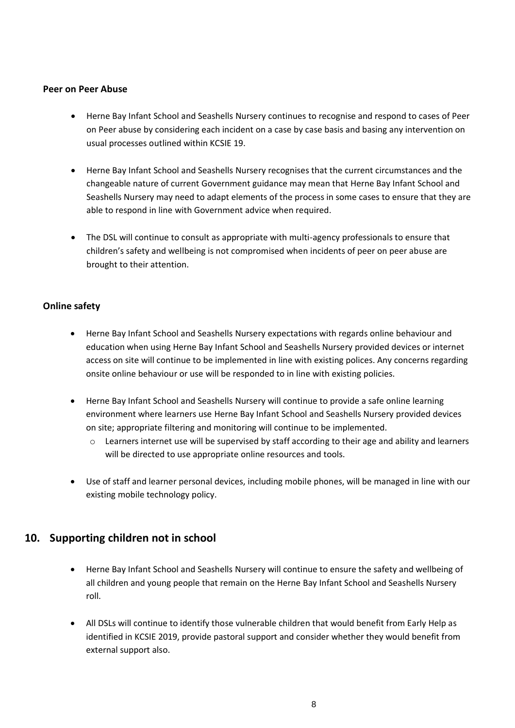#### **Peer on Peer Abuse**

- Herne Bay Infant School and Seashells Nursery continues to recognise and respond to cases of Peer on Peer abuse by considering each incident on a case by case basis and basing any intervention on usual processes outlined within KCSIE 19.
- Herne Bay Infant School and Seashells Nursery recognises that the current circumstances and the changeable nature of current Government guidance may mean that Herne Bay Infant School and Seashells Nursery may need to adapt elements of the process in some cases to ensure that they are able to respond in line with Government advice when required.
- The DSL will continue to consult as appropriate with multi-agency professionals to ensure that children's safety and wellbeing is not compromised when incidents of peer on peer abuse are brought to their attention.

#### **Online safety**

- Herne Bay Infant School and Seashells Nursery expectations with regards online behaviour and education when using Herne Bay Infant School and Seashells Nursery provided devices or internet access on site will continue to be implemented in line with existing polices. Any concerns regarding onsite online behaviour or use will be responded to in line with existing policies.
- Herne Bay Infant School and Seashells Nursery will continue to provide a safe online learning environment where learners use Herne Bay Infant School and Seashells Nursery provided devices on site; appropriate filtering and monitoring will continue to be implemented.
	- o Learners internet use will be supervised by staff according to their age and ability and learners will be directed to use appropriate online resources and tools.
- Use of staff and learner personal devices, including mobile phones, will be managed in line with our existing mobile technology policy.

#### **10. Supporting children not in school**

- Herne Bay Infant School and Seashells Nursery will continue to ensure the safety and wellbeing of all children and young people that remain on the Herne Bay Infant School and Seashells Nursery roll.
- All DSLs will continue to identify those vulnerable children that would benefit from Early Help as identified in KCSIE 2019, provide pastoral support and consider whether they would benefit from external support also.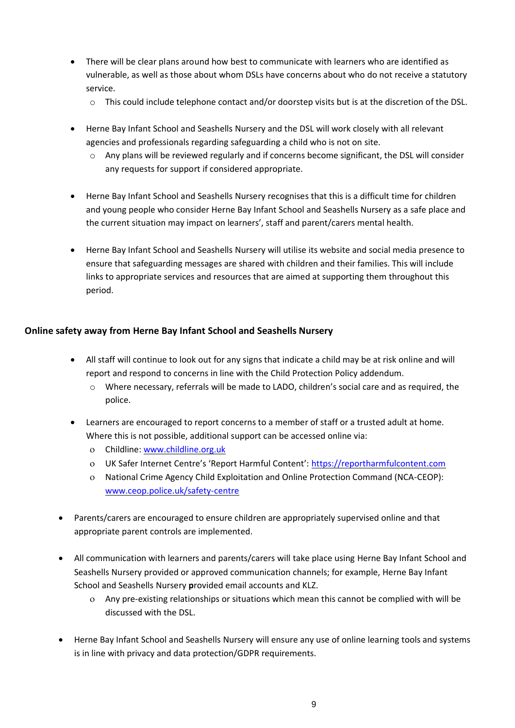- There will be clear plans around how best to communicate with learners who are identified as vulnerable, as well as those about whom DSLs have concerns about who do not receive a statutory service.
	- $\circ$  This could include telephone contact and/or doorstep visits but is at the discretion of the DSL.
- Herne Bay Infant School and Seashells Nursery and the DSL will work closely with all relevant agencies and professionals regarding safeguarding a child who is not on site.
	- o Any plans will be reviewed regularly and if concerns become significant, the DSL will consider any requests for support if considered appropriate.
- Herne Bay Infant School and Seashells Nursery recognises that this is a difficult time for children and young people who consider Herne Bay Infant School and Seashells Nursery as a safe place and the current situation may impact on learners', staff and parent/carers mental health.
- Herne Bay Infant School and Seashells Nursery will utilise its website and social media presence to ensure that safeguarding messages are shared with children and their families. This will include links to appropriate services and resources that are aimed at supporting them throughout this period.

#### **Online safety away from Herne Bay Infant School and Seashells Nursery**

- All staff will continue to look out for any signs that indicate a child may be at risk online and will report and respond to concerns in line with the Child Protection Policy addendum.
	- o Where necessary, referrals will be made to LADO, children's social care and as required, the police.
- Learners are encouraged to report concerns to a member of staff or a trusted adult at home. Where this is not possible, additional support can be accessed online via:
	- Childline: [www.childline.org.uk](http://www.childline.org.uk/)
	- UK Safer Internet Centre's 'Report Harmful Content': [https://reportharmfulcontent.com](https://reportharmfulcontent.com/)
	- National Crime Agency Child Exploitation and Online Protection Command (NCA-CEOP): [www.ceop.police.uk/safety-centre](https://www.ceop.police.uk/safety-centre/)
- Parents/carers are encouraged to ensure children are appropriately supervised online and that appropriate parent controls are implemented.
- All communication with learners and parents/carers will take place using Herne Bay Infant School and Seashells Nursery provided or approved communication channels; for example, Herne Bay Infant School and Seashells Nursery **p**rovided email accounts and KLZ.
	- Any pre-existing relationships or situations which mean this cannot be complied with will be discussed with the DSL.
- Herne Bay Infant School and Seashells Nursery will ensure any use of online learning tools and systems is in line with privacy and data protection/GDPR requirements.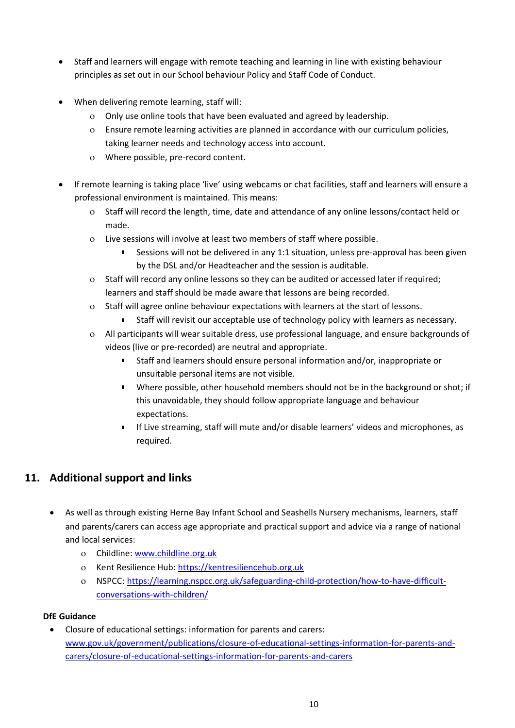- Staff and learners will engage with remote teaching and learning in line with existing behaviour principles as set out in our School behaviour Policy and Staff Code of Conduct.
- When delivering remote learning, staff will:
	- Only use online tools that have been evaluated and agreed by leadership.
	- Ensure remote learning activities are planned in accordance with our curriculum policies, taking learner needs and technology access into account.
	- Where possible, pre-record content.
- If remote learning is taking place 'live' using webcams or chat facilities, staff and learners will ensure a professional environment is maintained. This means:
	- o Staff will record the length, time, date and attendance of any online lessons/contact held or made.
	- Live sessions will involve at least two members of staff where possible.
		- Sessions will not be delivered in any 1:1 situation, unless pre-approval has been given by the DSL and/or Headteacher and the session is auditable.
	- Staff will record any online lessons so they can be audited or accessed later if required; learners and staff should be made aware that lessons are being recorded.
	- o Staff will agree online behaviour expectations with learners at the start of lessons.
		- Staff will revisit our acceptable use of technology policy with learners as necessary.
	- All participants will wear suitable dress, use professional language, and ensure backgrounds of videos (live or pre-recorded) are neutral and appropriate.
		- Staff and learners should ensure personal information and/or, inappropriate or unsuitable personal items are not visible.
		- Where possible, other household members should not be in the background or shot; if this unavoidable, they should follow appropriate language and behaviour expectations.
		- If Live streaming, staff will mute and/or disable learners' videos and microphones, as required.

#### **11. Additional support and links**

- As well as through existing Herne Bay Infant School and Seashells Nursery mechanisms, learners, staff and parents/carers can access age appropriate and practical support and advice via a range of national and local services:
	- Childline[: www.childline.org.uk](https://www.childline.org.uk/)
	- Kent Resilience Hub[: https://kentresiliencehub.org.uk](https://kentresiliencehub.org.uk/)
	- NSPCC[: https://learning.nspcc.org.uk/safeguarding-child-protection/how-to-have-difficult](https://learning.nspcc.org.uk/safeguarding-child-protection/how-to-have-difficult-conversations-with-children/)[conversations-with-children/](https://learning.nspcc.org.uk/safeguarding-child-protection/how-to-have-difficult-conversations-with-children/)

#### **DfE Guidance**

• Closure of educational settings: information for parents and carers: [www.gov.uk/government/publications/closure-of-educational-settings-information-for-parents-and](https://www.gov.uk/government/publications/closure-of-educational-settings-information-for-parents-and-carers/closure-of-educational-settings-information-for-parents-and-carers)[carers/closure-of-educational-settings-information-for-parents-and-carers](https://www.gov.uk/government/publications/closure-of-educational-settings-information-for-parents-and-carers/closure-of-educational-settings-information-for-parents-and-carers)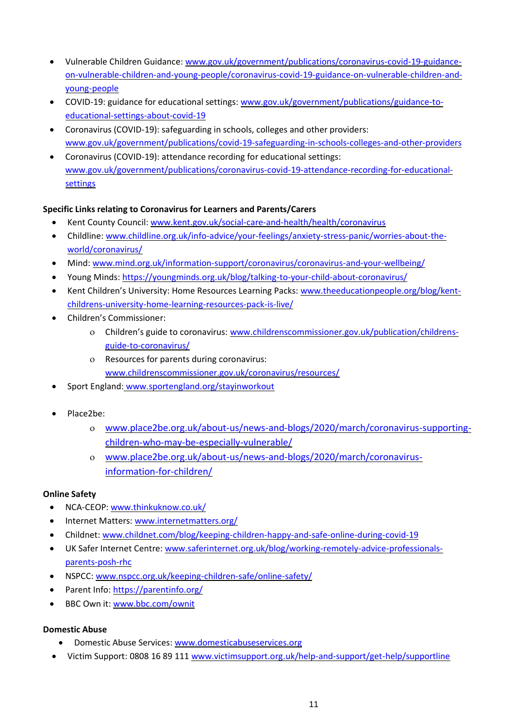- Vulnerable Children Guidance: [www.gov.uk/government/publications/coronavirus-covid-19-guidance](https://www.gov.uk/government/publications/coronavirus-covid-19-guidance-on-vulnerable-children-and-young-people/coronavirus-covid-19-guidance-on-vulnerable-children-and-young-people)[on-vulnerable-children-and-young-people/coronavirus-covid-19-guidance-on-vulnerable-children-and](https://www.gov.uk/government/publications/coronavirus-covid-19-guidance-on-vulnerable-children-and-young-people/coronavirus-covid-19-guidance-on-vulnerable-children-and-young-people)[young-people](https://www.gov.uk/government/publications/coronavirus-covid-19-guidance-on-vulnerable-children-and-young-people/coronavirus-covid-19-guidance-on-vulnerable-children-and-young-people)
- COVID-19: guidance for educational settings: [www.gov.uk/government/publications/guidance-to](http://www.gov.uk/government/publications/guidance-to-educational-settings-about-covid-19)[educational-settings-about-covid-19](http://www.gov.uk/government/publications/guidance-to-educational-settings-about-covid-19)
- Coronavirus (COVID-19): safeguarding in schools, colleges and other providers: [www.gov.uk/government/publications/covid-19-safeguarding-in-schools-colleges-and-other-providers](http://www.gov.uk/government/publications/covid-19-safeguarding-in-schools-colleges-and-other-providers)
- Coronavirus (COVID-19): attendance recording for educational settings: [www.gov.uk/government/publications/coronavirus-covid-19-attendance-recording-for-educational](http://www.gov.uk/government/publications/coronavirus-covid-19-attendance-recording-for-educational-settings)[settings](http://www.gov.uk/government/publications/coronavirus-covid-19-attendance-recording-for-educational-settings)

#### **Specific Links relating to Coronavirus for Learners and Parents/Carers**

- Kent County Council: [www.kent.gov.uk/social-care-and-health/health/coronavirus](http://www.kent.gov.uk/social-care-and-health/health/coronavirus)
- Childline: [www.childline.org.uk/info-advice/your-feelings/anxiety-stress-panic/worries-about-the](http://www.childline.org.uk/info-advice/your-feelings/anxiety-stress-panic/worries-about-the-world/coronavirus/)[world/coronavirus/](http://www.childline.org.uk/info-advice/your-feelings/anxiety-stress-panic/worries-about-the-world/coronavirus/)
- Mind: [www.mind.org.uk/information-support/coronavirus/coronavirus-and-your-wellbeing/](http://www.mind.org.uk/information-support/coronavirus/coronavirus-and-your-wellbeing/)
- Young Minds:<https://youngminds.org.uk/blog/talking-to-your-child-about-coronavirus/>
- Kent Children's University: Home Resources Learning Packs: [www.theeducationpeople.org/blog/kent](http://www.theeducationpeople.org/blog/kent-childrens-university-home-learning-resources-pack-is-live/)[childrens-university-home-learning-resources-pack-is-live/](http://www.theeducationpeople.org/blog/kent-childrens-university-home-learning-resources-pack-is-live/)
- Children's Commissioner:
	- Children's guide to coronavirus: [www.childrenscommissioner.gov.uk/publication/childrens](http://www.childrenscommissioner.gov.uk/publication/childrens-guide-to-coronavirus/)[guide-to-coronavirus/](http://www.childrenscommissioner.gov.uk/publication/childrens-guide-to-coronavirus/)
	- Resources for parents during coronavirus: [www.childrenscommissioner.gov.uk/coronavirus/resources/](http://www.childrenscommissioner.gov.uk/coronavirus/resources/)
- Sport England: [www.sportengland.org/stayinworkout](http://www.sportengland.org/stayinworkout)
- Place2be:
	- [www.place2be.org.uk/about-us/news-and-blogs/2020/march/coronavirus-supporting](http://www.place2be.org.uk/about-us/news-and-blogs/2020/march/coronavirus-supporting-children-who-may-be-especially-vulnerable/)[children-who-may-be-especially-vulnerable/](http://www.place2be.org.uk/about-us/news-and-blogs/2020/march/coronavirus-supporting-children-who-may-be-especially-vulnerable/)
	- [www.place2be.org.uk/about-us/news-and-blogs/2020/march/coronavirus](http://www.place2be.org.uk/about-us/news-and-blogs/2020/march/coronavirus-information-for-children/)[information-for-children/](http://www.place2be.org.uk/about-us/news-and-blogs/2020/march/coronavirus-information-for-children/)

#### **Online Safety**

- NCA-CEOP[: www.thinkuknow.co.uk/](https://www.thinkuknow.co.uk/)
- Internet Matters[: www.internetmatters.org/](https://www.internetmatters.org/)
- Childnet: www.childnet.com/blog/keeping-children-happy-and-safe-online-during-covid-19
- UK Safer Internet Centre[: www.saferinternet.org.uk/blog/working-remotely-advice-professionals](https://www.saferinternet.org.uk/blog/working-remotely-advice-professionals-parents-posh-rhc)[parents-posh-rhc](https://www.saferinternet.org.uk/blog/working-remotely-advice-professionals-parents-posh-rhc)
- NSPCC[: www.nspcc.org.uk/keeping-children-safe/online-safety/](http://www.nspcc.org.uk/keeping-children-safe/online-safety/)
- Parent Info[: https://parentinfo.org/](https://parentinfo.org/)
- BBC Own it[: www.bbc.com/ownit](https://www.bbc.com/ownit)

#### **Domestic Abuse**

- Domestic Abuse Services: [www.domesticabuseservices.org](http://www.domesticabuseservices.org/)
- Victim Support: 0808 16 89 111 [www.victimsupport.org.uk/help-and-support/get-help/supportline](http://www.victimsupport.org.uk/help-and-support/get-help/supportline)